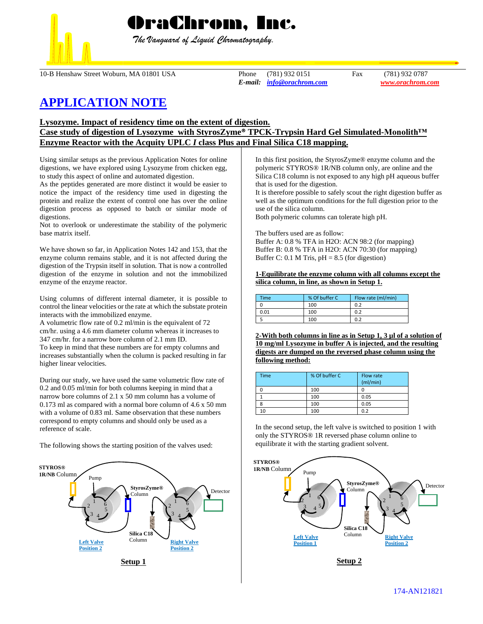

 *The Vanguard of Liquid Chromatography.*

10-B Henshaw Street Woburn, MA 01801 USA Phone (781) 932 0151 Fax (781) 932 0787

*E-mail: [info@orachrom.com](mailto:info@orachrom.com) www.orachrom.com*

# **APPLICATION NOTE**

**Lysozyme. Impact of residency time on the extent of digestion.** 

## **Case study of digestion of Lysozyme with StyrosZyme® TPCK-Trypsin Hard Gel Simulated-Monolith™ Enzyme Reactor with the Acquity UPLC** *I* **class Plus and Final Silica C18 mapping.**

Using similar setups as the previous Application Notes for online digestions, we have explored using Lysozyme from chicken egg, to study this aspect of online and automated digestion.

As the peptides generated are more distinct it would be easier to notice the impact of the residency time used in digesting the protein and realize the extent of control one has over the online digestion process as opposed to batch or similar mode of digestions.

Not to overlook or underestimate the stability of the polymeric base matrix itself.

We have shown so far, in Application Notes 142 and 153, that the enzyme column remains stable, and it is not affected during the digestion of the Trypsin itself in solution. That is now a controlled digestion of the enzyme in solution and not the immobilized enzyme of the enzyme reactor.

Using columns of different internal diameter, it is possible to control the linear velocities or the rate at which the substate protein interacts with the immobilized enzyme.

A volumetric flow rate of 0.2 ml/min is the equivalent of 72 cm/hr. using a 4.6 mm diameter column whereas it increases to 347 cm/hr. for a narrow bore column of 2.1 mm ID.

To keep in mind that these numbers are for empty columns and increases substantially when the column is packed resulting in far higher linear velocities.

During our study, we have used the same volumetric flow rate of 0.2 and 0.05 ml/min for both columns keeping in mind that a narrow bore columns of 2.1 x 50 mm column has a volume of 0.173 ml as compared with a normal bore column of 4.6 x 50 mm with a volume of 0.83 ml. Same observation that these numbers correspond to empty columns and should only be used as a reference of scale.

The following shows the starting position of the valves used:



In this first position, the StyrosZyme® enzyme column and the polymeric STYROS® 1R/NB column only, are online and the Silica C18 column is not exposed to any high pH aqueous buffer that is used for the digestion.

It is therefore possible to safely scout the right digestion buffer as well as the optimum conditions for the full digestion prior to the use of the silica column.

Both polymeric columns can tolerate high pH.

The buffers used are as follow:

Buffer A: 0.8 % TFA in H2O: ACN 98:2 (for mapping) Buffer B: 0.8 % TFA in H2O: ACN 70:30 (for mapping) Buffer C: 0.1 M Tris,  $pH = 8.5$  (for digestion)

**1-Equilibrate the enzyme column with all columns except the silica column, in line, as shown in Setup 1.**

| Time | % Of buffer C | Flow rate (ml/min) |
|------|---------------|--------------------|
|      | 100           | 0.2                |
| 0.01 | 100           | 0.2                |
|      | 100           | ሰ ን                |

**2-With both columns in line as in Setup 1, 3 µl of a solution of 10 mg/ml Lysozyme in buffer A is injected, and the resulting digests are dumped on the reversed phase column using the following method:**

| Time | % Of buffer C | Flow rate<br>(mI/min) |
|------|---------------|-----------------------|
|      | 100           |                       |
|      | 100           | 0.05                  |
|      | 100           | 0.05                  |
|      | 100           | 0.2                   |

In the second setup, the left valve is switched to position 1 with only the STYROS® 1R reversed phase column online to equilibrate it with the starting gradient solvent.



**Setup 2**